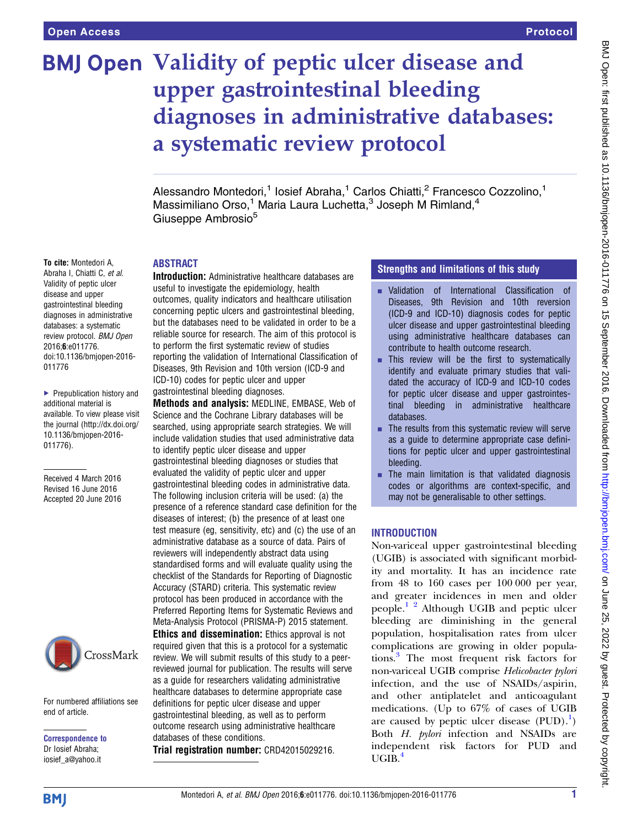# BMJ Open Validity of peptic ulcer disease and upper gastrointestinal bleeding diagnoses in administrative databases: a systematic review protocol

Alessandro Montedori,<sup>1</sup> Iosief Abraha,<sup>1</sup> Carlos Chiatti,<sup>2</sup> Francesco Cozzolino,<sup>1</sup> Massimiliano Orso,<sup>1</sup> Maria Laura Luchetta,<sup>3</sup> Joseph M Rimland,<sup>4</sup> Giuseppe Ambrosio<sup>5</sup>

### ABSTRACT

Introduction: Administrative healthcare databases are useful to investigate the epidemiology, health outcomes, quality indicators and healthcare utilisation concerning peptic ulcers and gastrointestinal bleeding, but the databases need to be validated in order to be a reliable source for research. The aim of this protocol is to perform the first systematic review of studies reporting the validation of International Classification of Diseases, 9th Revision and 10th version (ICD-9 and ICD-10) codes for peptic ulcer and upper gastrointestinal bleeding diagnoses.

Methods and analysis: MEDLINE, EMBASE, Web of Science and the Cochrane Library databases will be searched, using appropriate search strategies. We will include validation studies that used administrative data to identify peptic ulcer disease and upper gastrointestinal bleeding diagnoses or studies that evaluated the validity of peptic ulcer and upper gastrointestinal bleeding codes in administrative data. The following inclusion criteria will be used: (a) the presence of a reference standard case definition for the diseases of interest; (b) the presence of at least one test measure (eg, sensitivity, etc) and (c) the use of an administrative database as a source of data. Pairs of reviewers will independently abstract data using standardised forms and will evaluate quality using the checklist of the Standards for Reporting of Diagnostic Accuracy (STARD) criteria. This systematic review protocol has been produced in accordance with the Preferred Reporting Items for Systematic Reviews and Meta-Analysis Protocol (PRISMA-P) 2015 statement. Ethics and dissemination: Ethics approval is not required given that this is a protocol for a systematic review. We will submit results of this study to a peerreviewed journal for publication. The results will serve as a guide for researchers validating administrative healthcare databases to determine appropriate case definitions for peptic ulcer disease and upper gastrointestinal bleeding, as well as to perform outcome research using administrative healthcare

databases of these conditions.

Trial registration number: CRD42015029216.

# Strengths and limitations of this study

- Validation of International Classification of Diseases, 9th Revision and 10th reversion (ICD-9 and ICD-10) diagnosis codes for peptic ulcer disease and upper gastrointestinal bleeding using administrative healthcare databases can contribute to health outcome research.
- $\blacksquare$  This review will be the first to systematically identify and evaluate primary studies that validated the accuracy of ICD-9 and ICD-10 codes for peptic ulcer disease and upper gastrointestinal bleeding in administrative healthcare databases.
- $\blacksquare$  The results from this systematic review will serve as a guide to determine appropriate case definitions for peptic ulcer and upper gastrointestinal bleeding.
- $\blacksquare$  The main limitation is that validated diagnosis codes or algorithms are context-specific, and may not be generalisable to other settings.

### **INTRODUCTION**

Non-variceal upper gastrointestinal bleeding (UGIB) is associated with significant morbidity and mortality. It has an incidence rate from 48 to 160 cases per 100 000 per year, and greater incidences in men and older people.[1 2](#page-3-0) Although UGIB and peptic ulcer bleeding are diminishing in the general population, hospitalisation rates from ulcer complications are growing in older populations.[3](#page-3-0) The most frequent risk factors for non-variceal UGIB comprise Helicobacter pylori infection, and the use of NSAIDs/aspirin, and other antiplatelet and anticoagulant medications. (Up to 67% of cases of UGIB are caused by peptic ulcer disease  $( PUD)$ .<sup>1</sup>) Both H. pylori infection and NSAIDs are independent risk factors for PUD and  $UGIB.<sup>4</sup>$  $UGIB.<sup>4</sup>$  $UGIB.<sup>4</sup>$ 

To cite: Montedori A, Abraha I, Chiatti C, et al. Validity of peptic ulcer disease and upper gastrointestinal bleeding diagnoses in administrative databases: a systematic review protocol. BMJ Open 2016;6:e011776. doi:10.1136/bmjopen-2016- 011776

▶ Prepublication history and additional material is available. To view please visit the journal [\(http://dx.doi.org/](http://dx.doi.org/10.1136/bmjopen-2016-011776) [10.1136/bmjopen-2016-](http://dx.doi.org/10.1136/bmjopen-2016-011776) [011776\)](http://dx.doi.org/10.1136/bmjopen-2016-011776).

Received 4 March 2016 Revised 16 June 2016 Accepted 20 June 2016



For numbered affiliations see end of article.

Correspondence to Dr Iosief Abraha; iosief\_a@yahoo.it

Montedori A, et al. BMJ Open 2016;6:e011776. doi:10.1136/bmjopen-2016-011776 1

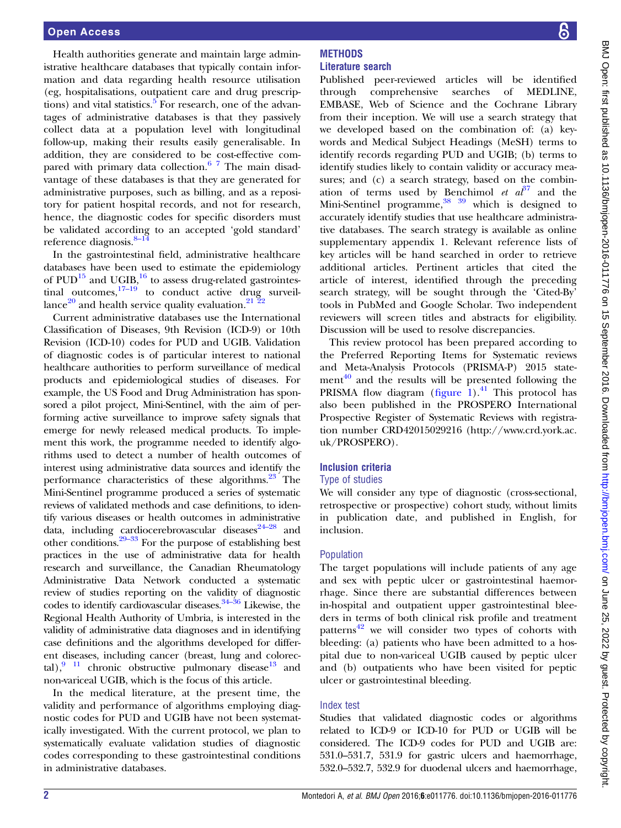Health authorities generate and maintain large administrative healthcare databases that typically contain information and data regarding health resource utilisation (eg, hospitalisations, outpatient care and drug prescriptions) and vital statistics.<sup>5</sup> For research, one of the advantages of administrative databases is that they passively collect data at a population level with longitudinal follow-up, making their results easily generalisable. In addition, they are considered to be cost-effective compared with primary data collection.<sup>6</sup> <sup>7</sup> The main disadvantage of these databases is that they are generated for administrative purposes, such as billing, and as a repository for patient hospital records, and not for research, hence, the diagnostic codes for specific disorders must be validated according to an accepted 'gold standard' reference diagnosis. $8-14$  $8-14$ 

In the gastrointestinal field, administrative healthcare databases have been used to estimate the epidemiology of  $PUD<sup>15</sup>$  $PUD<sup>15</sup>$  $PUD<sup>15</sup>$  and UGIB,<sup>16</sup> to assess drug-related gastrointestinal outcomes, $17-19$  $17-19$  to conduct active drug surveillance $^{20}$  $^{20}$  $^{20}$  and health service quality evaluation. $^{21\,\, \bar{2}2}$ 

Current administrative databases use the International Classification of Diseases, 9th Revision (ICD-9) or 10th Revision (ICD-10) codes for PUD and UGIB. Validation of diagnostic codes is of particular interest to national healthcare authorities to perform surveillance of medical products and epidemiological studies of diseases. For example, the US Food and Drug Administration has sponsored a pilot project, Mini-Sentinel, with the aim of performing active surveillance to improve safety signals that emerge for newly released medical products. To implement this work, the programme needed to identify algorithms used to detect a number of health outcomes of interest using administrative data sources and identify the performance characteristics of these algorithms.<sup>23</sup> The Mini-Sentinel programme produced a series of systematic reviews of validated methods and case definitions, to identify various diseases or health outcomes in administrative data, including cardiocerebrovascular diseases<sup>24-28</sup> and other conditions. $29-33$  For the purpose of establishing best practices in the use of administrative data for health research and surveillance, the Canadian Rheumatology Administrative Data Network conducted a systematic review of studies reporting on the validity of diagnostic codes to identify cardiovascular diseases. $34-36$  Likewise, the Regional Health Authority of Umbria, is interested in the validity of administrative data diagnoses and in identifying case definitions and the algorithms developed for different diseases, including cancer (breast, lung and colorectal), $\frac{9}{11}$  chronic obstructive pulmonary disease<sup>[13](#page-4-0)</sup> and non-variceal UGIB, which is the focus of this article.

In the medical literature, at the present time, the validity and performance of algorithms employing diagnostic codes for PUD and UGIB have not been systematically investigated. With the current protocol, we plan to systematically evaluate validation studies of diagnostic codes corresponding to these gastrointestinal conditions in administrative databases.

#### **METHODS** Literature search

Published peer-reviewed articles will be identified through comprehensive searches of MEDLINE, EMBASE, Web of Science and the Cochrane Library from their inception. We will use a search strategy that we developed based on the combination of: (a) keywords and Medical Subject Headings (MeSH) terms to identify records regarding PUD and UGIB; (b) terms to identify studies likely to contain validity or accuracy measures; and (c) a search strategy, based on the combination of terms used by Benchimol et  $a<sup>37</sup>$  $a<sup>37</sup>$  $a<sup>37</sup>$  and the Mini-Sentinel programme,  $38^{39}$  which is designed to accurately identify studies that use healthcare administrative databases. The search strategy is available as online [supplementary appendix](http://dx.doi.org/10.1136/bmjopen-2016-011776) 1. Relevant reference lists of key articles will be hand searched in order to retrieve additional articles. Pertinent articles that cited the article of interest, identified through the preceding search strategy, will be sought through the 'Cited-By' tools in PubMed and Google Scholar. Two independent reviewers will screen titles and abstracts for eligibility. Discussion will be used to resolve discrepancies.

This review protocol has been prepared according to the Preferred Reporting Items for Systematic reviews and Meta-Analysis Protocols (PRISMA-P) 2015 statement $^{40}$  $^{40}$  $^{40}$  and the results will be presented following the PRISMA flow diagram (fi[gure 1](#page-2-0)).<sup>41</sup> This protocol has also been published in the PROSPERO International Prospective Register of Systematic Reviews with registration number CRD42015029216 [\(http://www.crd.york.ac.](http://www.crd.york.ac.uk/PROSPERO) [uk/PROSPERO](http://www.crd.york.ac.uk/PROSPERO)).

# Inclusion criteria

# Type of studies

We will consider any type of diagnostic (cross-sectional, retrospective or prospective) cohort study, without limits in publication date, and published in English, for inclusion.

# Population

The target populations will include patients of any age and sex with peptic ulcer or gastrointestinal haemorrhage. Since there are substantial differences between in-hospital and outpatient upper gastrointestinal bleeders in terms of both clinical risk profile and treatment patterns<sup>[42](#page-4-0)</sup> we will consider two types of cohorts with bleeding: (a) patients who have been admitted to a hospital due to non-variceal UGIB caused by peptic ulcer and (b) outpatients who have been visited for peptic ulcer or gastrointestinal bleeding.

# Index test

Studies that validated diagnostic codes or algorithms related to ICD-9 or ICD-10 for PUD or UGIB will be considered. The ICD-9 codes for PUD and UGIB are: 531.0–531.7, 531.9 for gastric ulcers and haemorrhage, 532.0–532.7, 532.9 for duodenal ulcers and haemorrhage,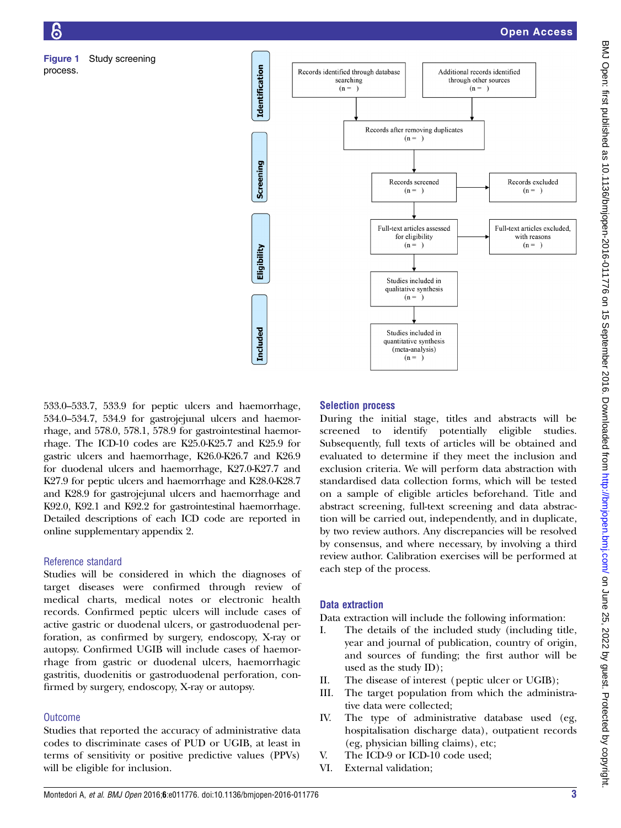

533.0–533.7, 533.9 for peptic ulcers and haemorrhage, 534.0–534.7, 534.9 for gastrojejunal ulcers and haemorrhage, and 578.0, 578.1, 578.9 for gastrointestinal haemorrhage. The ICD-10 codes are K25.0-K25.7 and K25.9 for gastric ulcers and haemorrhage, K26.0-K26.7 and K26.9 for duodenal ulcers and haemorrhage, K27.0-K27.7 and K27.9 for peptic ulcers and haemorrhage and K28.0-K28.7 and K28.9 for gastrojejunal ulcers and haemorrhage and K92.0, K92.1 and K92.2 for gastrointestinal haemorrhage. Detailed descriptions of each ICD code are reported in online [supplementary appendix](http://dx.doi.org/10.1136/bmjopen-2016-011776) 2.

# Reference standard

<span id="page-2-0"></span>Figure 1 Study screening

process.

Studies will be considered in which the diagnoses of target diseases were confirmed through review of medical charts, medical notes or electronic health records. Confirmed peptic ulcers will include cases of active gastric or duodenal ulcers, or gastroduodenal perforation, as confirmed by surgery, endoscopy, X-ray or autopsy. Confirmed UGIB will include cases of haemorrhage from gastric or duodenal ulcers, haemorrhagic gastritis, duodenitis or gastroduodenal perforation, confirmed by surgery, endoscopy, X-ray or autopsy.

# **Outcome**

Studies that reported the accuracy of administrative data codes to discriminate cases of PUD or UGIB, at least in terms of sensitivity or positive predictive values (PPVs) will be eligible for inclusion.

# Selection process

During the initial stage, titles and abstracts will be screened to identify potentially eligible studies. Subsequently, full texts of articles will be obtained and evaluated to determine if they meet the inclusion and exclusion criteria. We will perform data abstraction with standardised data collection forms, which will be tested on a sample of eligible articles beforehand. Title and abstract screening, full-text screening and data abstraction will be carried out, independently, and in duplicate, by two review authors. Any discrepancies will be resolved by consensus, and where necessary, by involving a third review author. Calibration exercises will be performed at each step of the process.

# Data extraction

Data extraction will include the following information:

- I. The details of the included study (including title, year and journal of publication, country of origin, and sources of funding; the first author will be used as the study ID);
- II. The disease of interest (peptic ulcer or UGIB);
- III. The target population from which the administrative data were collected;
- IV. The type of administrative database used (eg, hospitalisation discharge data), outpatient records (eg, physician billing claims), etc;
- V. The ICD-9 or ICD-10 code used;
- VI. External validation;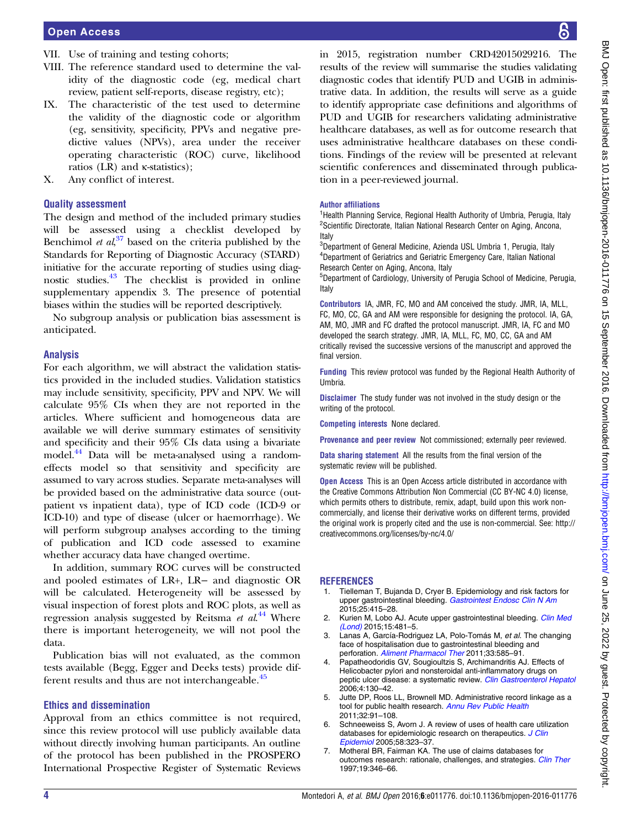- <span id="page-3-0"></span>VII. Use of training and testing cohorts;
- VIII. The reference standard used to determine the validity of the diagnostic code (eg, medical chart review, patient self-reports, disease registry, etc);
- IX. The characteristic of the test used to determine the validity of the diagnostic code or algorithm (eg, sensitivity, specificity, PPVs and negative predictive values (NPVs), area under the receiver operating characteristic (ROC) curve, likelihood ratios (LR) and κ-statistics);
- X. Any conflict of interest.

# Quality assessment

The design and method of the included primary studies will be assessed using a checklist developed by Benchimol et  $al$ <sup>[37](#page-4-0)</sup> based on the criteria published by the Standards for Reporting of Diagnostic Accuracy (STARD) initiative for the accurate reporting of studies using diagnostic studies.[43](#page-4-0) The checklist is provided in online [supplementary appendix](http://dx.doi.org/10.1136/bmjopen-2016-011776) 3. The presence of potential biases within the studies will be reported descriptively.

No subgroup analysis or publication bias assessment is anticipated.

# Analysis

For each algorithm, we will abstract the validation statistics provided in the included studies. Validation statistics may include sensitivity, specificity, PPV and NPV. We will calculate 95% CIs when they are not reported in the articles. Where sufficient and homogeneous data are available we will derive summary estimates of sensitivity and specificity and their 95% CIs data using a bivariate model.<sup>44</sup> Data will be meta-analysed using a randomeffects model so that sensitivity and specificity are assumed to vary across studies. Separate meta-analyses will be provided based on the administrative data source (outpatient vs inpatient data), type of ICD code (ICD-9 or ICD-10) and type of disease (ulcer or haemorrhage). We will perform subgroup analyses according to the timing of publication and ICD code assessed to examine whether accuracy data have changed overtime.

In addition, summary ROC curves will be constructed and pooled estimates of LR+, LR− and diagnostic OR will be calculated. Heterogeneity will be assessed by visual inspection of forest plots and ROC plots, as well as regression analysis suggested by Reitsma et al.<sup>[44](#page-4-0)</sup> Where there is important heterogeneity, we will not pool the data.

Publication bias will not evaluated, as the common tests available (Begg, Egger and Deeks tests) provide dif-ferent results and thus are not interchangeable.<sup>[45](#page-4-0)</sup>

# Ethics and dissemination

Approval from an ethics committee is not required, since this review protocol will use publicly available data without directly involving human participants. An outline of the protocol has been published in the PROSPERO International Prospective Register of Systematic Reviews

in 2015, registration number CRD42015029216. The results of the review will summarise the studies validating diagnostic codes that identify PUD and UGIB in administrative data. In addition, the results will serve as a guide to identify appropriate case definitions and algorithms of PUD and UGIB for researchers validating administrative healthcare databases, as well as for outcome research that uses administrative healthcare databases on these conditions. Findings of the review will be presented at relevant scientific conferences and disseminated through publication in a peer-reviewed journal.

#### Author affiliations

<sup>1</sup>Health Planning Service, Regional Health Authority of Umbria, Perugia, Italy <sup>2</sup>Scientific Directorate, Italian National Research Center on Aging, Ancona, Italy

3 Department of General Medicine, Azienda USL Umbria 1, Perugia, Italy 4 Department of Geriatrics and Geriatric Emergency Care, Italian National Research Center on Aging, Ancona, Italy

5 Department of Cardiology, University of Perugia School of Medicine, Perugia, Italy

Contributors IA, JMR, FC, MO and AM conceived the study. JMR, IA, MLL, FC, MO, CC, GA and AM were responsible for designing the protocol. IA, GA, AM, MO, JMR and FC drafted the protocol manuscript. JMR, IA, FC and MO developed the search strategy. JMR, IA, MLL, FC, MO, CC, GA and AM critically revised the successive versions of the manuscript and approved the final version.

Funding This review protocol was funded by the Regional Health Authority of Umbria.

Disclaimer The study funder was not involved in the study design or the writing of the protocol.

Competing interests None declared.

Provenance and peer review Not commissioned; externally peer reviewed.

Data sharing statement All the results from the final version of the systematic review will be published.

Open Access This is an Open Access article distributed in accordance with the Creative Commons Attribution Non Commercial (CC BY-NC 4.0) license, which permits others to distribute, remix, adapt, build upon this work noncommercially, and license their derivative works on different terms, provided the original work is properly cited and the use is non-commercial. See: [http://](http://creativecommons.org/licenses/by-nc/4.0/) [creativecommons.org/licenses/by-nc/4.0/](http://creativecommons.org/licenses/by-nc/4.0/)

# REFERENCES

- Tielleman T, Bujanda D, Cryer B. Epidemiology and risk factors for upper gastrointestinal bleeding. [Gastrointest Endosc Clin N Am](http://dx.doi.org/10.1016/j.giec.2015.02.010) 2015;25:415–28.
- 2. Kurien M, Lobo AJ. Acute upper gastrointestinal bleeding. [Clin Med](http://dx.doi.org/10.7861/clinmedicine.15-5-481) [\(Lond\)](http://dx.doi.org/10.7861/clinmedicine.15-5-481) 2015;15:481–5.
- Lanas A, García-Rodriguez LA, Polo-Tomás M, et al. The changing face of hospitalisation due to gastrointestinal bleeding and perforation. [Aliment Pharmacol Ther](http://dx.doi.org/10.1111/j.1365-2036.2010.04563.x) 2011;33:585–91.
- 4. Papatheodoridis GV, Sougioultzis S, Archimandritis AJ. Effects of Helicobacter pylori and nonsteroidal anti-inflammatory drugs on peptic ulcer disease: a systematic review. [Clin Gastroenterol Hepatol](http://dx.doi.org/10.1016/j.cgh.2005.10.006) 2006;4:130–42.
- 5. Jutte DP, Roos LL, Brownell MD. Administrative record linkage as a tool for public health research. [Annu Rev Public Health](http://dx.doi.org/10.1146/annurev-publhealth-031210-100700) 2011;32:91–108.
- 6. Schneeweiss S, Avorn J. A review of uses of health care utilization databases for epidemiologic research on therapeutics. [J Clin](http://dx.doi.org/10.1016/j.jclinepi.2004.10.012) [Epidemiol](http://dx.doi.org/10.1016/j.jclinepi.2004.10.012) 2005;58:323–37.
- 7. Motheral BR, Fairman KA. The use of claims databases for outcomes research: rationale, challenges, and strategies. [Clin Ther](http://dx.doi.org/10.1016/S0149-2918(97)80122-1) 1997;19:346–66.